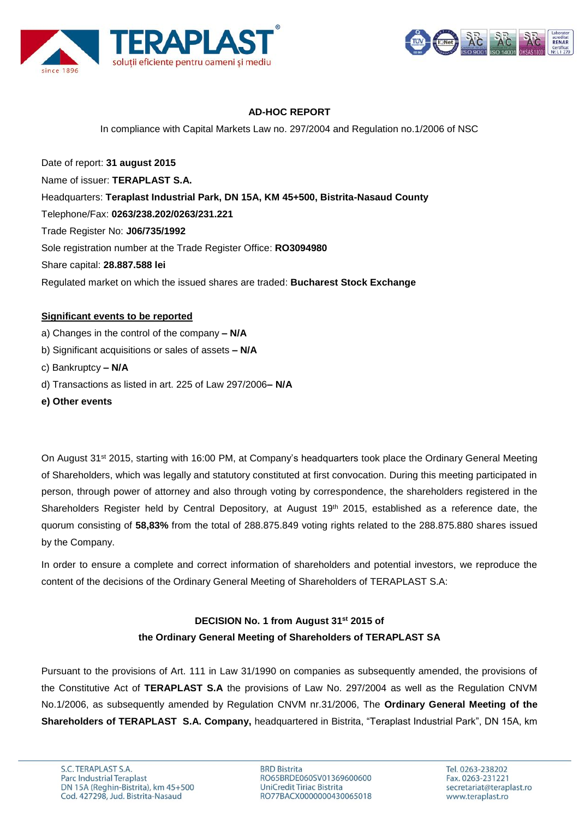



# **AD-HOC REPORT**

In compliance with Capital Markets Law no. 297/2004 and Regulation no.1/2006 of NSC

Date of report: **31 august 2015** Name of issuer: **TERAPLAST S.A.**  Headquarters: **Teraplast Industrial Park, DN 15A, KM 45+500, Bistrita-Nasaud County** Telephone/Fax: **0263/238.202/0263/231.221** Trade Register No: **J06/735/1992** Sole registration number at the Trade Register Office: **RO3094980** Share capital: **28.887.588 lei** Regulated market on which the issued shares are traded: **Bucharest Stock Exchange**

#### **Significant events to be reported**

a) Changes in the control of the company **– N/A** b) Significant acquisitions or sales of assets **– N/A** c) Bankruptcy **– N/A** d) Transactions as listed in art. 225 of Law 297/2006**– N/A e) Other events**

On August 31<sup>st</sup> 2015, starting with 16:00 PM, at Company's headquarters took place the Ordinary General Meeting of Shareholders, which was legally and statutory constituted at first convocation. During this meeting participated in person, through power of attorney and also through voting by correspondence, the shareholders registered in the Shareholders Register held by Central Depository, at August 19<sup>th</sup> 2015, established as a reference date, the quorum consisting of **58,83%** from the total of 288.875.849 voting rights related to the 288.875.880 shares issued by the Company.

In order to ensure a complete and correct information of shareholders and potential investors, we reproduce the content of the decisions of the Ordinary General Meeting of Shareholders of TERAPLAST S.A:

# **DECISION No. 1 from August 31st 2015 of the Ordinary General Meeting of Shareholders of TERAPLAST SA**

Pursuant to the provisions of Art. 111 in Law 31/1990 on companies as subsequently amended, the provisions of the Constitutive Act of **TERAPLAST S.A** the provisions of Law No. 297/2004 as well as the Regulation CNVM No.1/2006, as subsequently amended by Regulation CNVM nr.31/2006, The **Ordinary General Meeting of the Shareholders of TERAPLAST S.A. Company,** headquartered in Bistrita, "Teraplast Industrial Park", DN 15A, km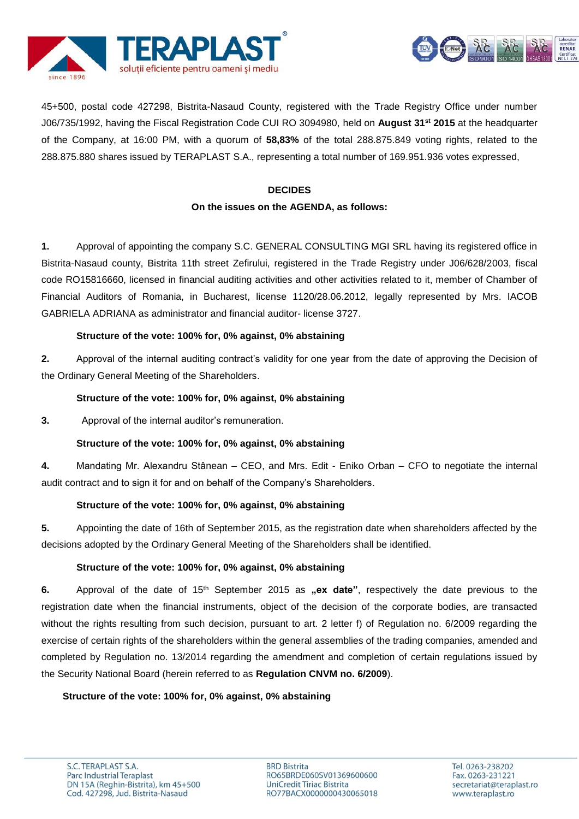



45+500, postal code 427298, Bistrita-Nasaud County, registered with the Trade Registry Office under number J06/735/1992, having the Fiscal Registration Code CUI RO 3094980, held on **August 31st 2015** at the headquarter of the Company, at 16:00 PM, with a quorum of **58,83%** of the total 288.875.849 voting rights, related to the 288.875.880 shares issued by TERAPLAST S.A., representing a total number of 169.951.936 votes expressed,

# **DECIDES On the issues on the AGENDA, as follows:**

**1.** Approval of appointing the company S.C. GENERAL CONSULTING MGI SRL having its registered office in Bistrita-Nasaud county, Bistrita 11th street Zefirului, registered in the Trade Registry under J06/628/2003, fiscal code RO15816660, licensed in financial auditing activities and other activities related to it, member of Chamber of Financial Auditors of Romania, in Bucharest, license 1120/28.06.2012, legally represented by Mrs. IACOB GABRIELA ADRIANA as administrator and financial auditor- license 3727.

# **Structure of the vote: 100% for, 0% against, 0% abstaining**

**2.** Approval of the internal auditing contract's validity for one year from the date of approving the Decision of the Ordinary General Meeting of the Shareholders.

## **Structure of the vote: 100% for, 0% against, 0% abstaining**

**3.** Approval of the internal auditor's remuneration.

## **Structure of the vote: 100% for, 0% against, 0% abstaining**

**4.** Mandating Mr. Alexandru Stânean – CEO, and Mrs. Edit - Eniko Orban – CFO to negotiate the internal audit contract and to sign it for and on behalf of the Company's Shareholders.

## **Structure of the vote: 100% for, 0% against, 0% abstaining**

**5.** Appointing the date of 16th of September 2015, as the registration date when shareholders affected by the decisions adopted by the Ordinary General Meeting of the Shareholders shall be identified.

## **Structure of the vote: 100% for, 0% against, 0% abstaining**

6. Approval of the date of 15<sup>th</sup> September 2015 as "ex date", respectively the date previous to the registration date when the financial instruments, object of the decision of the corporate bodies, are transacted without the rights resulting from such decision, pursuant to art. 2 letter f) of Regulation no. 6/2009 regarding the exercise of certain rights of the shareholders within the general assemblies of the trading companies, amended and completed by Regulation no. 13/2014 regarding the amendment and completion of certain regulations issued by the Security National Board (herein referred to as **Regulation CNVM no. 6/2009**).

## **Structure of the vote: 100% for, 0% against, 0% abstaining**